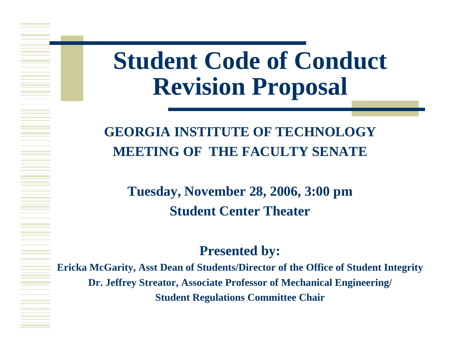# **Student Code of Conduct Revision Proposal**

#### **GEORGIA INSTITUTE OF TECHNOLOGYMEETING OF THE FACULTY SENATE**

**Tuesday, November 28, 2006, 3:00 pm Student Center Theater**

#### **Presented by:**

**Ericka McGarity, Asst Dean of Students/Director of the Office of Student Integrity Dr. Jeffrey Streator, Associate Professor of Mechanical Engineering/ Student Regulations Committee Chair**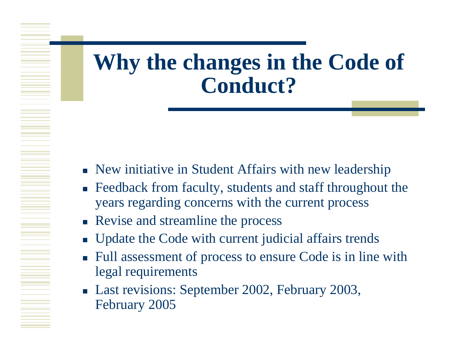#### **Why the changes in the Code of Conduct?**

- **New initiative in Student Affairs with new leadership**
- **Feedback from faculty, students and staff throughout the** years regarding concerns with the current process
- **Revise and streamline the process**
- $\mathcal{L}_{\mathcal{A}}$ Update the Code with current judicial affairs trends
- ×. Full assessment of process to ensure Code is in line with legal requirements
- Last revisions: September 2002, February 2003, February 2005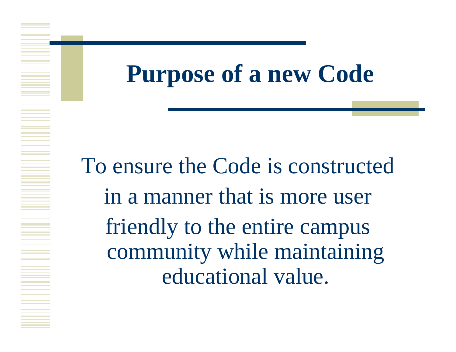### **Purpose of a new Code**

To ensure the Code is constructed in a manner that is more user friendly to the entire campus community while maintaining educational value.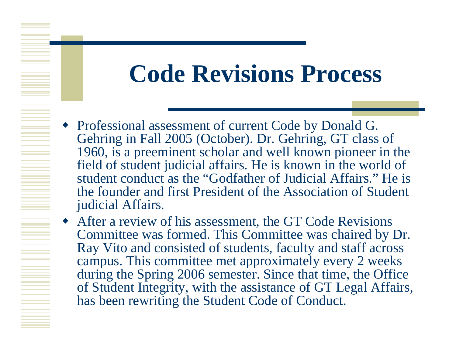# **Code Revisions Process**

 Professional assessment of current Code by Donald G. Gehring in Fall 2005 (October). Dr. Gehring, GT class of 1960, is a preeminent scholar and well known pioneer in the field of student judicial affairs. He is known in the world of student conduct as the "Godfather of Judicial Affairs." He is the founder and first President of the Association of Student judicial Affairs.

 After a review of his assessment, the GT Code Revisions Committee was formed. This Committee was chaired by Dr. Ray Vito and consisted of students, faculty and staff across campus. This committee met approximately every 2 weeks during the Spring 2006 semester. Since that time, the Office of Student Integrity, with the assistance of GT Legal Affairs, has been rewriting the Student Code of Conduct.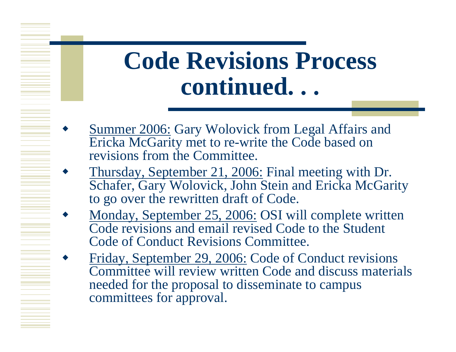- ♦ Summer 2006: Gary Wolovick from Legal Affairs and Ericka McGarity met to re-write the Code based on revisions from the Committee.
- ♦ Thursday, September 21, 2006: Final meeting with Dr. Schafer, Gary Wolovick, John Stein and Ericka McGarity to go over the rewritten draft of Code.
- ♦ • Monday, September 25, 2006: OSI will complete written Code revisions and email revised Code to the Student Code of Conduct Revisions Committee.
- ♦ Friday, September 29, 2006: Code of Conduct revisions Committee will review written Code and discuss materials needed for the proposal to disseminate to campus committees for approval.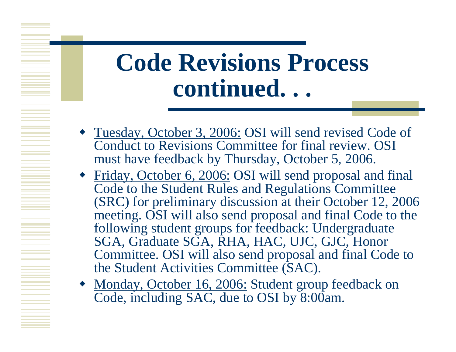- Tuesday, October 3, 2006: OSI will send revised Code of Conduct to Revisions Committee for final review. OSI must have feedback by Thursday, October 5, 2006.
- Friday, October 6, 2006: OSI will send proposal and final Code to the Student Rules and Regulations Committee (SRC) for preliminary discussion at their October 12, 2006 meeting. OSI will also send proposal and final Code to the following student groups for feedback: Undergraduate SGA, Graduate SGA, RHA, HAC, UJC, GJC, Honor Committee. OSI will also send proposal and final Code to the Student Activities Committee (SAC).
- Monday, October 16, 2006: Student group feedback on Code, including SAC, due to OSI by 8:00am.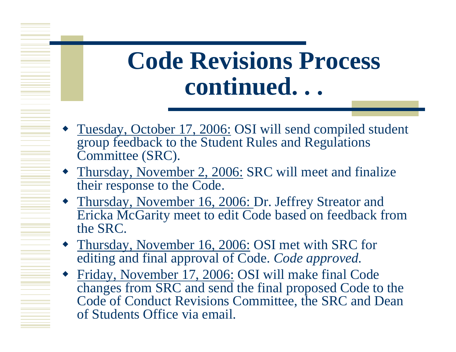- Tuesday, October 17, 2006: OSI will send compiled student group feedback to the Student Rules and Regulations Committee (SRC).
- Thursday, November 2, 2006: SRC will meet and finalize their response to the Code.

- Thursday, November 16, 2006: Dr. Jeffrey Streator and Ericka McGarity meet to edit Code based on feedback from the SRC.
- Thursday, November 16, 2006: OSI met with SRC for editing and final approval of Code. *Code approved.*
- ♦ Friday, November 17, 2006: OSI will make final Code changes from SRC and send the final proposed Code to the Code of Conduct Revisions Committee, the SRC and Dean of Students Office via email.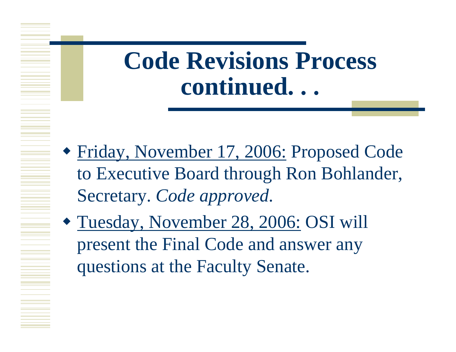- Friday, November 17, 2006: Proposed Code to Executive Board through Ron Bohlander, Secretary. *Code approved.*
- Tuesday, November 28, 2006: OSI will present the Final Code and answer any questions at the Faculty Senate.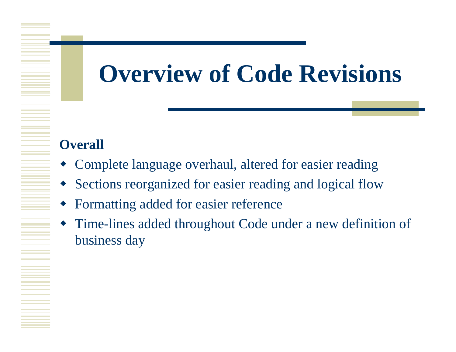# **Overview of Code Revisions**

#### **Overall**

- Complete language overhaul, altered for easier reading
- Sections reorganized for easier reading and logical flow
- Formatting added for easier reference
- Time-lines added throughout Code under a new definition of business day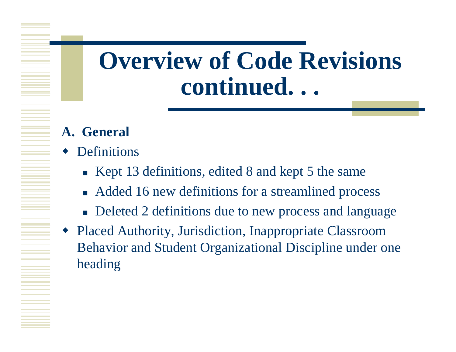#### **A. General**

- ♦ Definitions
	- Kept 13 definitions, edited 8 and kept 5 the same
	- Added 16 new definitions for a streamlined process
	- **Deleted 2 definitions due to new process and language**
- ♦ Placed Authority, Jurisdiction, Inappropriate Classroom Behavior and Student Organizational Discipline under one heading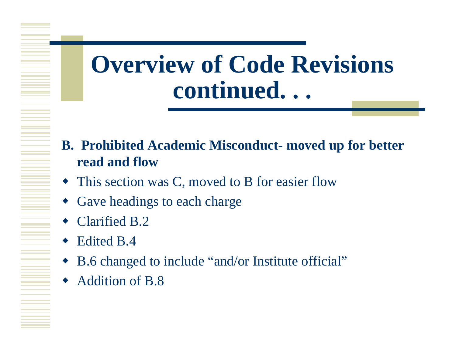- **B. Prohibited Academic Misconduct- moved up for better read and flow**
- This section was C, moved to B for easier flow
- Gave headings to each charge
- ◆ Clarified B.2
- ◆ Edited B.4
- B.6 changed to include "and/or Institute official"
- Addition of B.8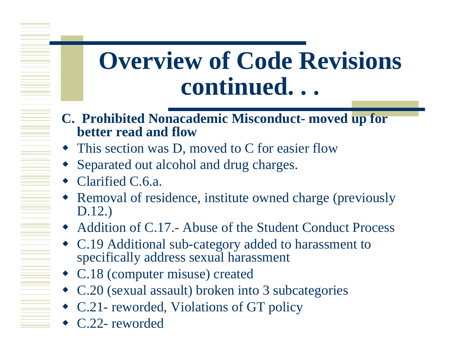- **C. Prohibited Nonacademic Misconduct- moved up for better read and flow**
- This section was D, moved to C for easier flow
- Separated out alcohol and drug charges.
- ◆ Clarified C.6.a.
- Removal of residence, institute owned charge (previously D.12.)
- Addition of C.17.- Abuse of the Student Conduct Process
- C.19 Additional sub-category added to harassment to specifically address sexual harassment
- C.18 (computer misuse) created
- C.20 (sexual assault) broken into 3 subcategories
- C.21- reworded, Violations of GT policy
- C.22- reworded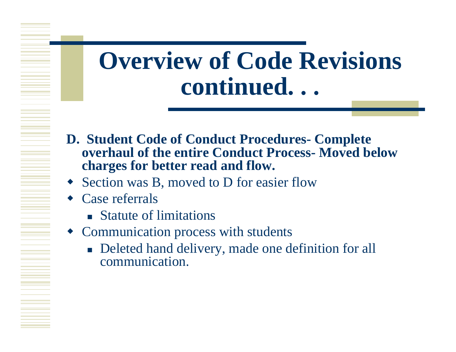- **D. Student Code of Conduct Procedures- Complete overhaul of the entire Conduct Process- Moved below charges for better read and flow.**
- Section was B, moved to D for easier flow
- Case referrals
	- **Statute of limitations**
- Communication process with students
	- **Deleted hand delivery, made one definition for all** communication.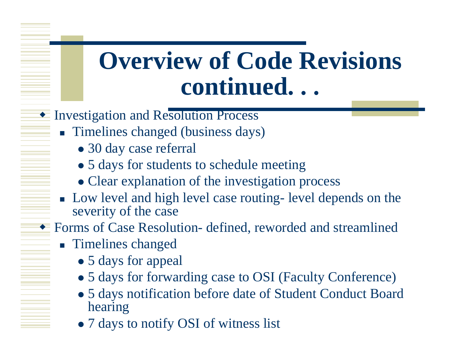- **Investigation and Resolution Process** 
	- **Timelines changed (business days)** 
		- 30 day case referral
		- 5 days for students to schedule meeting
		- Clear explanation of the investigation process
	- **Low level and high level case routing- level depends on the** severity of the case
- ◆ Forms of Case Resolution- defined, reworded and streamlined
	- **Timelines changed** 
		- 5 days for appeal
		- 5 days for forwarding case to OSI (Faculty Conference)
		- 5 days notification before date of Student Conduct Board hearing
		- 7 days to notify OSI of witness list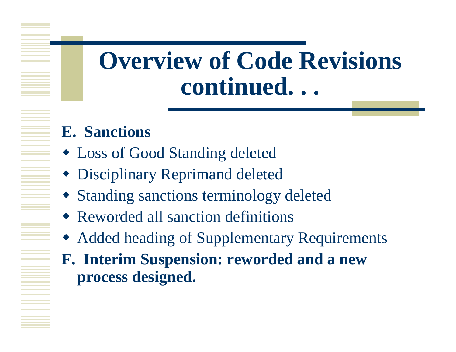- **E. Sanctions**
- Loss of Good Standing deleted
- Disciplinary Reprimand deleted
- Standing sanctions terminology deleted
- Reworded all sanction definitions
- Added heading of Supplementary Requirements
- **F. Interim Suspension: reworded and a new process designed.**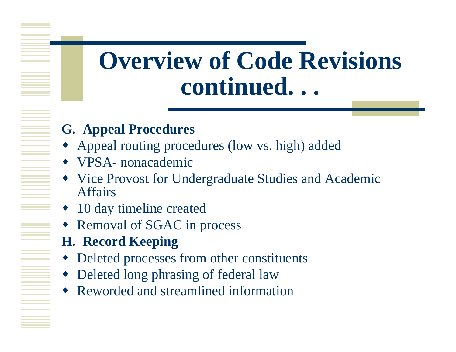#### **G. Appeal Procedures**

- Appeal routing procedures (low vs. high) added
- VPSA- nonacademic
- Vice Provost for Undergraduate Studies and Academic Affairs
- 10 day timeline created
- Removal of SGAC in process
- **H. Record Keeping**
- Deleted processes from other constituents
- Deleted long phrasing of federal law
- Reworded and streamlined information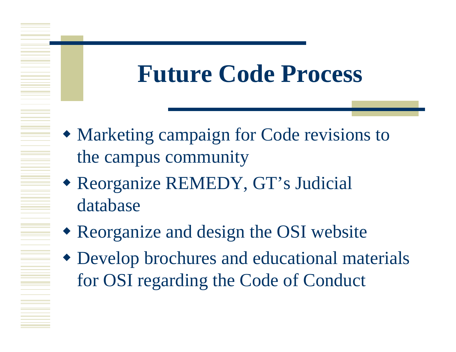# **Future Code Process**

- Marketing campaign for Code revisions to the campus community
- Reorganize REMEDY, GT's Judicial database
- Reorganize and design the OSI website
- Develop brochures and educational materials for OSI regarding the Code of Conduct